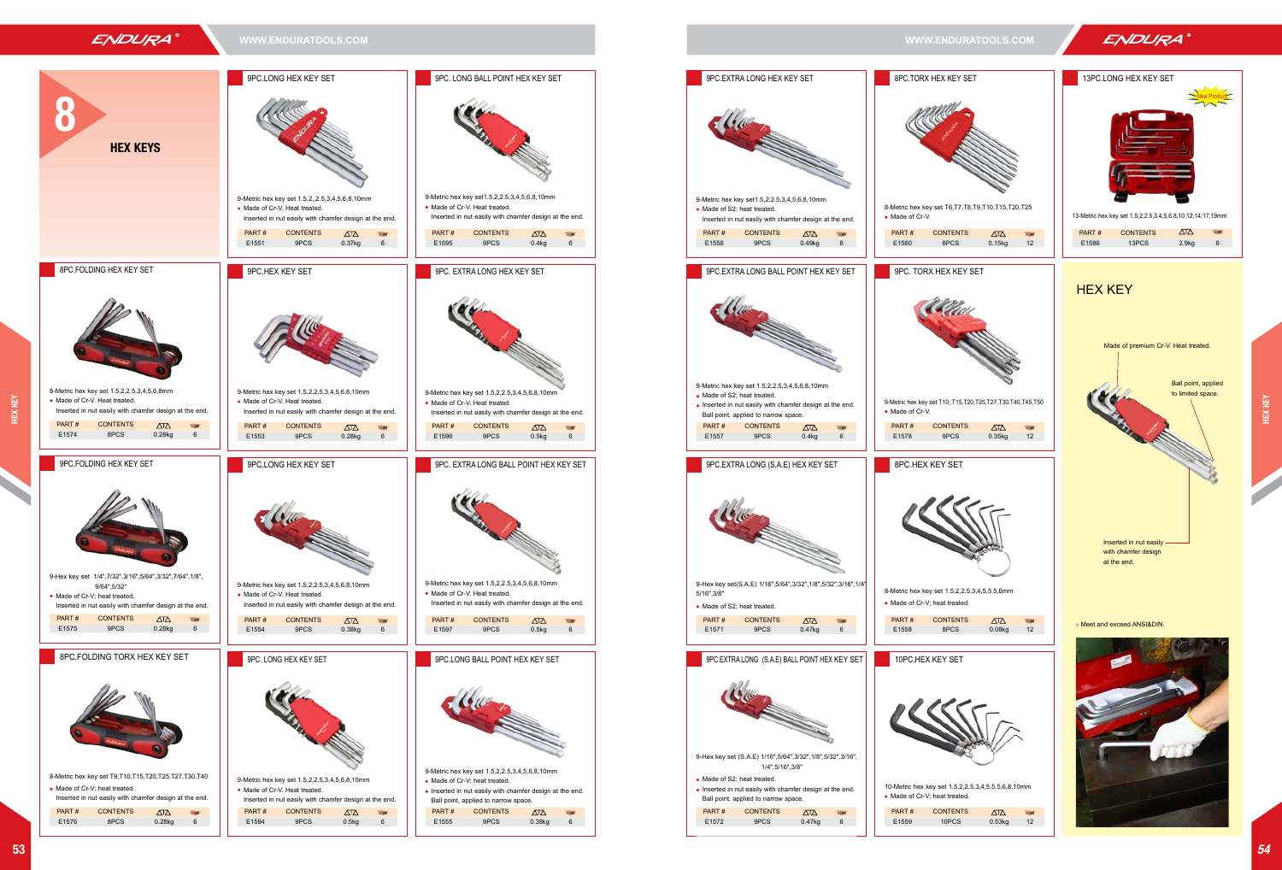

• Made of Cr-V; heat treated.

PART # CONTENTS





8-Metric hex key set T9,T10,T15,T20,T25,T27,T30,T40 9-Metric hex key set 1.5,2,2.5,3,4,5,6,8,10mm • Made of Cr-V. Heat treated. Inserted in nut easily with chamfer design at the end. PART # CONTENTS E1594 9PCS 0.5kg 6

• Made of Cr-V; heat treated.

Inserted in nut easily with chamfer design at the end.

Ball point, applied to narrow space.

E1576 8PCS 0.28kg 6







Meet and exceed ANSI&DIN.



13-Metric hex key set 1.5,2,2.5,3,4,5,6,8,10,12,14,17,19mm



| PART# | <b>CONTENTS</b> | ∧™                | H |
|-------|-----------------|-------------------|---|
| E1586 | 13PCS           | 2.9 <sub>kq</sub> |   |